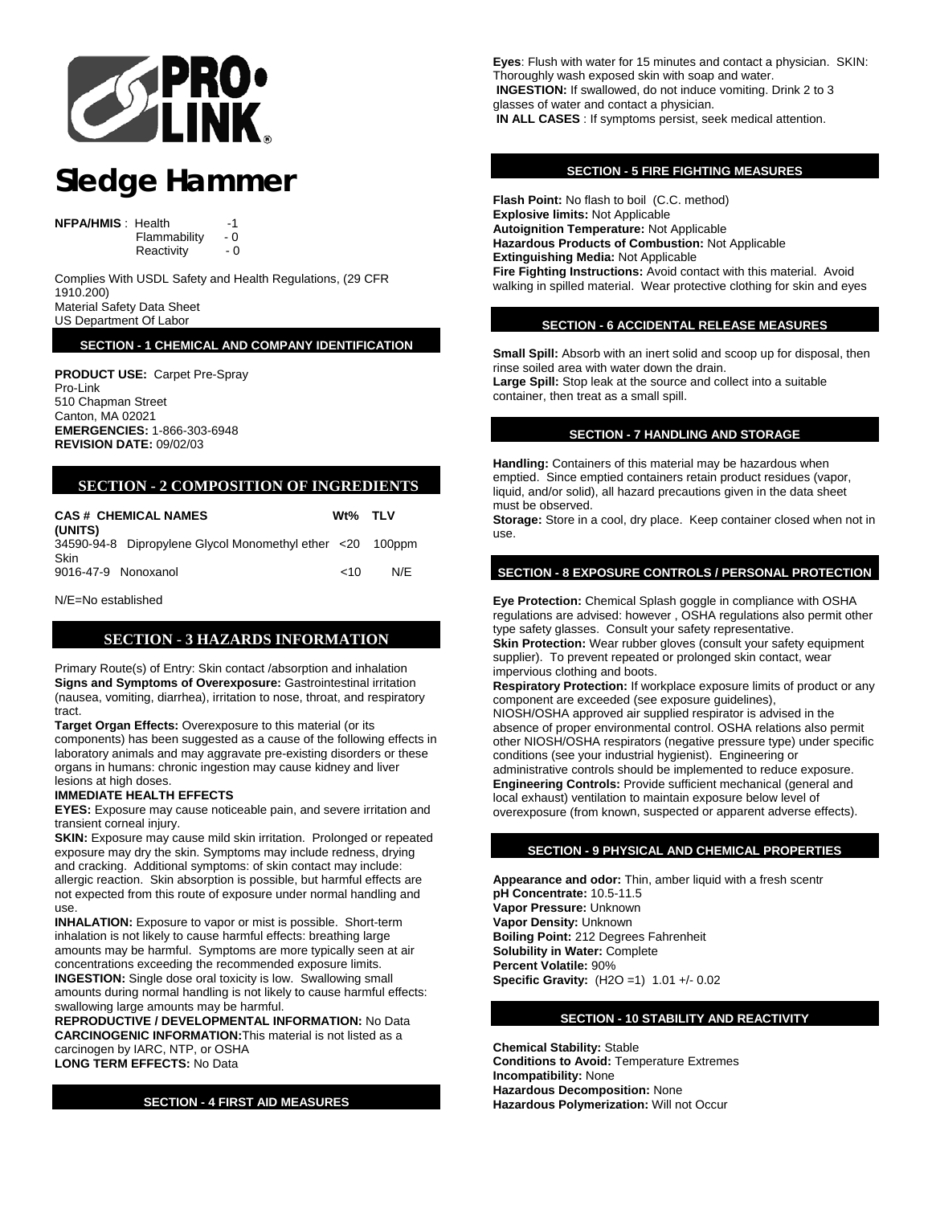

# **Sledge Hammer**

**NFPA/HMIS** : Health -1

Flammability - 0

Reactivity - 0

Complies With USDL Safety and Health Regulations, (29 CFR 1910.200) Material Safety Data Sheet

US Department Of Labor

**SECTION - 1 CHEMICAL AND COMPANY IDENTIFICATION**

**PRODUCT USE:** Carpet Pre-Spray Pro-Link 510 Chapman Street Canton, MA 02021 **EMERGENCIES:** 1-866-303-6948 **REVISION DATE:** 09/02/03

# **SECTION - 2 COMPOSITION OF INGREDIENTS**

| <b>CAS# CHEMICAL NAMES</b><br>(UNITS) |                                                           | Wt% TLV |     |
|---------------------------------------|-----------------------------------------------------------|---------|-----|
| <b>Skin</b>                           | 34590-94-8 Dipropylene Glycol Monomethyl ether <20 100ppm |         |     |
| 9016-47-9 Nonoxanol                   |                                                           | $~<$ 10 | N/F |

N/E=No established

# **SECTION - 3 HAZARDS INFORMATION**

Primary Route(s) of Entry: Skin contact /absorption and inhalation **Signs and Symptoms of Overexposure:** Gastrointestinal irritation (nausea, vomiting, diarrhea), irritation to nose, throat, and respiratory tract.

**Target Organ Effects:** Overexposure to this material (or its components) has been suggested as a cause of the following effects in laboratory animals and may aggravate pre-existing disorders or these organs in humans: chronic ingestion may cause kidney and liver lesions at high doses.

## **IMMEDIATE HEALTH EFFECTS**

**EYES:** Exposure may cause noticeable pain, and severe irritation and transient corneal injury.

**SKIN:** Exposure may cause mild skin irritation. Prolonged or repeated exposure may dry the skin. Symptoms may include redness, drying and cracking. Additional symptoms: of skin contact may include: allergic reaction. Skin absorption is possible, but harmful effects are not expected from this route of exposure under normal handling and use.

**INHALATION:** Exposure to vapor or mist is possible. Short-term inhalation is not likely to cause harmful effects: breathing large amounts may be harmful. Symptoms are more typically seen at air concentrations exceeding the recommended exposure limits. **INGESTION:** Single dose oral toxicity is low. Swallowing small amounts during normal handling is not likely to cause harmful effects: swallowing large amounts may be harmful.

**REPRODUCTIVE / DEVELOPMENTAL INFORMATION:** No Data **CARCINOGENIC INFORMATION:**This material is not listed as a carcinogen by IARC, NTP, or OSHA **LONG TERM EFFECTS:** No Data

**SECTION - 4 FIRST AID MEASURES**

**Eyes**: Flush with water for 15 minutes and contact a physician. S KIN: Thoroughly wash exposed skin with soap a nd water. glasses of water and contact a physician. **N ALL CASES** : If symptoms persist, seek medical attention.  **I INGESTION:** If swallowed, do not induce vomiting. Drink 2 to 3

## **SECTION - 5 FIRE FIGHTING MEASURES**

**Flash Point:** No flash to boil (C.C. method) **Autoignition Temperature: Not Applicable** Fire Fighting Instructions: Avoid contact with this material. Avoid walking in spilled material. Wear protective clothing for skin and eyes **Explosive limits:** Not Applicable **Hazardous Products of Combustion:** Not Applicable **Extinguishing Media:** Not Applicable

## **SECTION - 6 ACCIDENTAL RELEASE MEASURES**

Small Spill: Absorb with an inert solid and scoop up for disposal, then rinse soiled area with water down the drain. **arge Spill:** Stop leak at the source and collect into a suitable **L** container, then treat as a small spill.

## **SECTION - 7 HANDLING AND STORAGE**

**Handling:** Containers of this material may be hazardous when emptied. Since emptied containers retain product residues (vapor, must be observed. liquid, and/or solid), all hazard precautions given in the data sheet

Storage: Store in a cool, dry place. Keep container closed when not in use.

# **SECTION - 8 EXPOSURE CONTROLS / PERSONAL PROTECTION**

**Eye Protection:** Chemical Splash goggle in compliance with OSHA **Skin Protection:** Wear rubber gloves (consult your safety equipment regulations are advised: however , OSHA regulations also permit other type safety glasses. Consult your safety representative. supplier). To prevent repeated or prolonged skin contact, wear impervious clothing and boots.

**Respiratory Protection:** If workplace exposure limits of product or any absence of proper environmental control. OSHA relations also permit other NIOSH/OSHA respirators (negative pressure type) under specific administrative controls should be implemented to reduce exposure. local exhaust) ventilation to maintain exposure below level of overexposure (from know n, suspected or apparent adverse effects). component are exceeded (see exposure guidelines), NIOSH/OSHA approved air supplied respirator is advised in the conditions (see your industrial hygienist). Engineering or **Engineering Controls:** Provide sufficient mechanical (general and

# **SECTION - 9 PHYSICAL AND CHEMICAL PROPERTIES**

**Appearance and odor:** Thin, amber liquid with a fresh scentr **ercent Volatile:** 90% **P Specific Grav ity:** (H2O =1) 1.01 +/- 0.02 **pH Concentrate:** 10.5-11.5 **Vapor Pressure:** Unknown **Vapor Density:** Unknown **Boiling Point:** 212 Degrees Fahrenheit **Solubility in Water:** Complete

# **SECTION - 10 STABILITY AND REACTIVITY**

**Chemical Stability:** Stable **Conditions to Avoid: Temperature Extremes Hazardous Decomposition: None** Hazardous Polymerization: Will not Occur **Incompatibility:** None